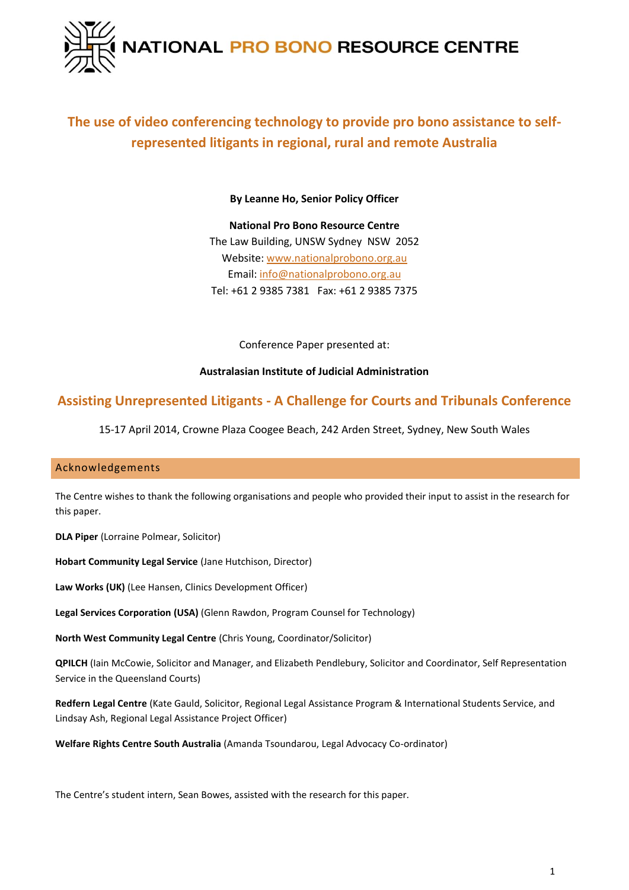

# **The use of video conferencing technology to provide pro bono assistance to selfrepresented litigants in regional, rural and remote Australia**

**By Leanne Ho, Senior Policy Officer**

**National Pro Bono Resource Centre** The Law Building, UNSW Sydney NSW 2052 Website: [www.nationalprobono.org.au](http://www.nationalprobono.org.au/) Email[: info@nationalprobono.org.au](mailto:info@nationalprobono.org.au) Tel: +61 2 9385 7381 Fax: +61 2 9385 7375

Conference Paper presented at:

# **Australasian Institute of Judicial Administration**

# **Assisting Unrepresented Litigants - A Challenge for Courts and Tribunals Conference**

15-17 April 2014, Crowne Plaza Coogee Beach, 242 Arden Street, Sydney, New South Wales

# <span id="page-0-0"></span>Acknowledgements

The Centre wishes to thank the following organisations and people who provided their input to assist in the research for this paper.

**DLA Piper** (Lorraine Polmear, Solicitor)

**Hobart Community Legal Service** (Jane Hutchison, Director)

**Law Works (UK)** (Lee Hansen, Clinics Development Officer)

**Legal Services Corporation (USA)** (Glenn Rawdon, Program Counsel for Technology)

**North West Community Legal Centre** (Chris Young, Coordinator/Solicitor)

**QPILCH** (Iain McCowie, Solicitor and Manager, and Elizabeth Pendlebury, Solicitor and Coordinator, Self Representation Service in the Queensland Courts)

**Redfern Legal Centre** (Kate Gauld, Solicitor, Regional Legal Assistance Program & International Students Service, and Lindsay Ash, Regional Legal Assistance Project Officer)

**Welfare Rights Centre South Australia** (Amanda Tsoundarou, Legal Advocacy Co-ordinator)

The Centre's student intern, Sean Bowes, assisted with the research for this paper.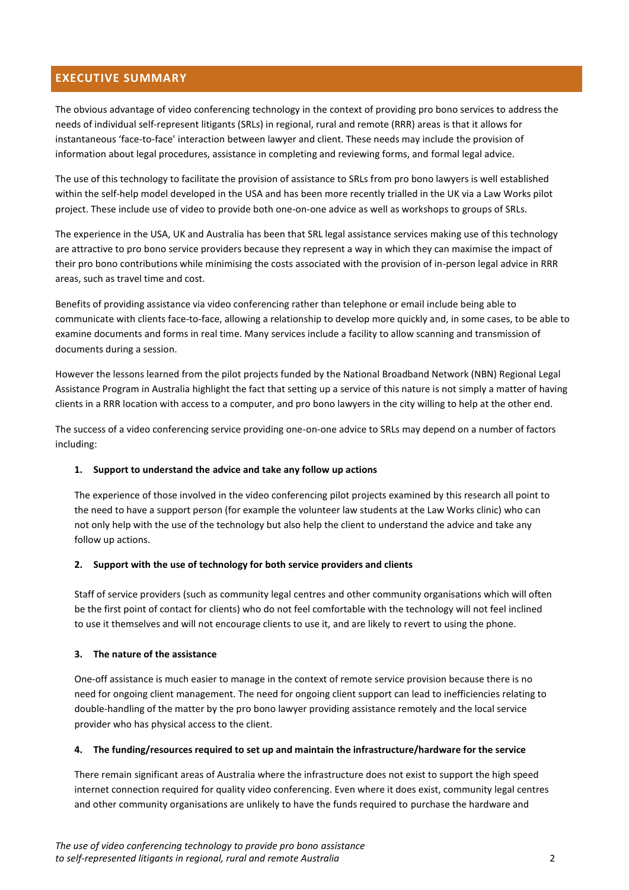# <span id="page-1-0"></span>**EXECUTIVE SUMMARY**

The obvious advantage of video conferencing technology in the context of providing pro bono services to address the needs of individual self-represent litigants (SRLs) in regional, rural and remote (RRR) areas is that it allows for instantaneous 'face-to-face' interaction between lawyer and client. These needs may include the provision of information about legal procedures, assistance in completing and reviewing forms, and formal legal advice.

The use of this technology to facilitate the provision of assistance to SRLs from pro bono lawyers is well established within the self-help model developed in the USA and has been more recently trialled in the UK via a Law Works pilot project. These include use of video to provide both one-on-one advice as well as workshops to groups of SRLs.

The experience in the USA, UK and Australia has been that SRL legal assistance services making use of this technology are attractive to pro bono service providers because they represent a way in which they can maximise the impact of their pro bono contributions while minimising the costs associated with the provision of in-person legal advice in RRR areas, such as travel time and cost.

Benefits of providing assistance via video conferencing rather than telephone or email include being able to communicate with clients face-to-face, allowing a relationship to develop more quickly and, in some cases, to be able to examine documents and forms in real time. Many services include a facility to allow scanning and transmission of documents during a session.

However the lessons learned from the pilot projects funded by the National Broadband Network (NBN) Regional Legal Assistance Program in Australia highlight the fact that setting up a service of this nature is not simply a matter of having clients in a RRR location with access to a computer, and pro bono lawyers in the city willing to help at the other end.

The success of a video conferencing service providing one-on-one advice to SRLs may depend on a number of factors including:

### **1. Support to understand the advice and take any follow up actions**

The experience of those involved in the video conferencing pilot projects examined by this research all point to the need to have a support person (for example the volunteer law students at the Law Works clinic) who can not only help with the use of the technology but also help the client to understand the advice and take any follow up actions.

#### **2. Support with the use of technology for both service providers and clients**

Staff of service providers (such as community legal centres and other community organisations which will often be the first point of contact for clients) who do not feel comfortable with the technology will not feel inclined to use it themselves and will not encourage clients to use it, and are likely to revert to using the phone.

### **3. The nature of the assistance**

One-off assistance is much easier to manage in the context of remote service provision because there is no need for ongoing client management. The need for ongoing client support can lead to inefficiencies relating to double-handling of the matter by the pro bono lawyer providing assistance remotely and the local service provider who has physical access to the client.

### **4. The funding/resources required to set up and maintain the infrastructure/hardware for the service**

There remain significant areas of Australia where the infrastructure does not exist to support the high speed internet connection required for quality video conferencing. Even where it does exist, community legal centres and other community organisations are unlikely to have the funds required to purchase the hardware and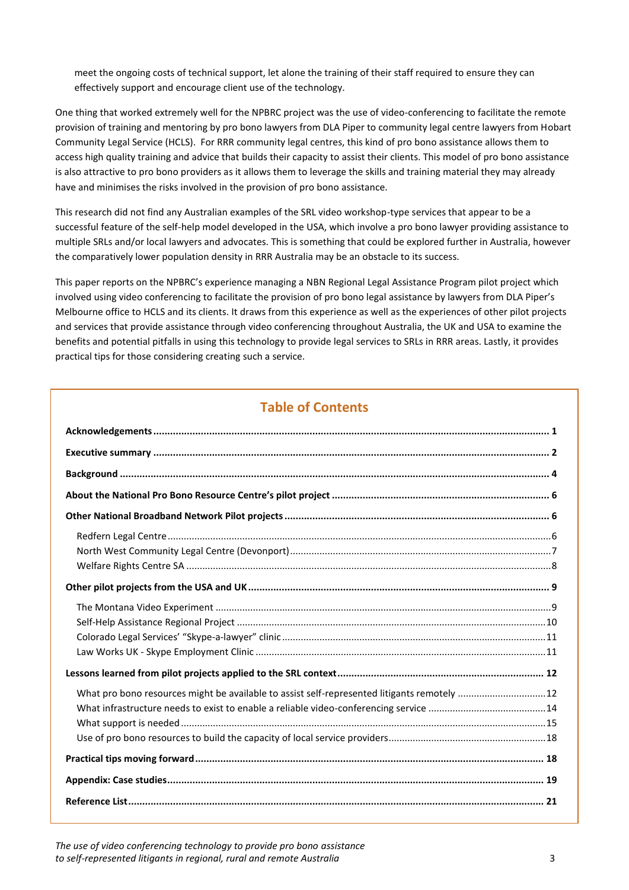meet the ongoing costs of technical support, let alone the training of their staff required to ensure they can effectively support and encourage client use of the technology.

One thing that worked extremely well for the NPBRC project was the use of video-conferencing to facilitate the remote provision of training and mentoring by pro bono lawyers from DLA Piper to community legal centre lawyers from Hobart Community Legal Service (HCLS). For RRR community legal centres, this kind of pro bono assistance allows them to access high quality training and advice that builds their capacity to assist their clients. This model of pro bono assistance is also attractive to pro bono providers as it allows them to leverage the skills and training material they may already have and minimises the risks involved in the provision of pro bono assistance.

This research did not find any Australian examples of the SRL video workshop-type services that appear to be a successful feature of the self-help model developed in the USA, which involve a pro bono lawyer providing assistance to multiple SRLs and/or local lawyers and advocates. This is something that could be explored further in Australia, however the comparatively lower population density in RRR Australia may be an obstacle to its success.

This paper reports on the NPBRC's experience managing a NBN Regional Legal Assistance Program pilot project which involved using video conferencing to facilitate the provision of pro bono legal assistance by lawyers from DLA Piper's Melbourne office to HCLS and its clients. It draws from this experience as well as the experiences of other pilot projects and services that provide assistance through video conferencing throughout Australia, the UK and USA to examine the benefits and potential pitfalls in using this technology to provide legal services to SRLs in RRR areas. Lastly, it provides practical tips for those considering creating such a service.

# **Table of Contents**

| What pro bono resources might be available to assist self-represented litigants remotely  12 |  |
|----------------------------------------------------------------------------------------------|--|
|                                                                                              |  |
|                                                                                              |  |
|                                                                                              |  |

*The use of video conferencing technology to provide pro bono assistance to self-represented litigants in regional, rural and remote Australia* 3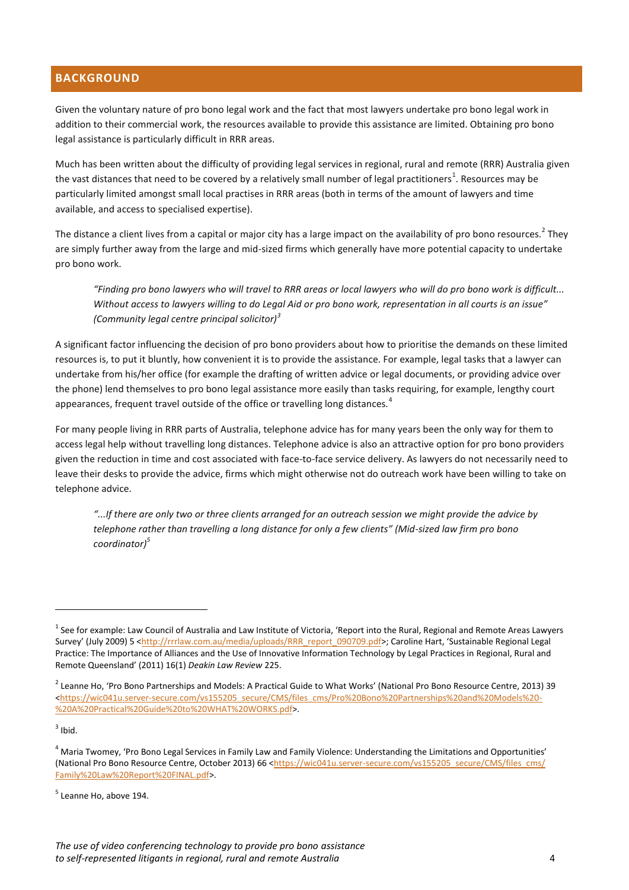# <span id="page-3-0"></span>**BACKGROUND**

Given the voluntary nature of pro bono legal work and the fact that most lawyers undertake pro bono legal work in addition to their commercial work, the resources available to provide this assistance are limited. Obtaining pro bono legal assistance is particularly difficult in RRR areas.

Much has been written about the difficulty of providing legal services in regional, rural and remote (RRR) Australia given the vast distances that need to be covered by a relatively small number of legal practitioners<sup>1</sup>. Resources may be particularly limited amongst small local practises in RRR areas (both in terms of the amount of lawyers and time available, and access to specialised expertise).

The distance a client lives from a capital or major city has a large impact on the availability of pro bono resources.<sup>2</sup> They are simply further away from the large and mid-sized firms which generally have more potential capacity to undertake pro bono work.

*"Finding pro bono lawyers who will travel to RRR areas or local lawyers who will do pro bono work is difficult... Without access to lawyers willing to do Legal Aid or pro bono work, representation in all courts is an issue" (Community legal centre principal solicitor)<sup>3</sup>*

A significant factor influencing the decision of pro bono providers about how to prioritise the demands on these limited resources is, to put it bluntly, how convenient it is to provide the assistance. For example, legal tasks that a lawyer can undertake from his/her office (for example the drafting of written advice or legal documents, or providing advice over the phone) lend themselves to pro bono legal assistance more easily than tasks requiring, for example, lengthy court appearances, frequent travel outside of the office or travelling long distances.<sup>4</sup>

For many people living in RRR parts of Australia, telephone advice has for many years been the only way for them to access legal help without travelling long distances. Telephone advice is also an attractive option for pro bono providers given the reduction in time and cost associated with face-to-face service delivery. As lawyers do not necessarily need to leave their desks to provide the advice, firms which might otherwise not do outreach work have been willing to take on telephone advice.

*"...If there are only two or three clients arranged for an outreach session we might provide the advice by telephone rather than travelling a long distance for only a few clients" (Mid-sized law firm pro bono coordinator)<sup>5</sup>*

 $3$  Ibid.

 $\overline{a}$ 

 $^1$  See for example: Law Council of Australia and Law Institute of Victoria, 'Report into the Rural, Regional and Remote Areas Lawyers Survey' (July 2009) 5 [<http://rrrlaw.com.au/media/uploads/RRR\\_report\\_090709.pdf](http://rrrlaw.com.au/media/uploads/RRR_report_090709.pdf)>; Caroline Hart, 'Sustainable Regional Legal Practice: The Importance of Alliances and the Use of Innovative Information Technology by Legal Practices in Regional, Rural and Remote Queensland' (2011) 16(1) *Deakin Law Review* 225.

 $^2$  Leanne Ho, 'Pro Bono Partnerships and Models: A Practical Guide to What Works' (National Pro Bono Resource Centre, 2013) 39 [<https://wic041u.server-secure.com/vs155205\\_secure/CMS/files\\_cms/Pro%20Bono%20Partnerships%20and%20Models%20-](https://wic041u.server-secure.com/vs155205_secure/CMS/files_cms/Pro%20Bono%20Partnerships%20and%20Models%20-%20A%20Practical%20Guide%20to%20WHAT%20WORKS.pdf) [%20A%20Practical%20Guide%20to%20WHAT%20WORKS.pdf>](https://wic041u.server-secure.com/vs155205_secure/CMS/files_cms/Pro%20Bono%20Partnerships%20and%20Models%20-%20A%20Practical%20Guide%20to%20WHAT%20WORKS.pdf).

<sup>&</sup>lt;sup>4</sup> Maria Twomey, 'Pro Bono Legal Services in Family Law and Family Violence: Understanding the Limitations and Opportunities' (National Pro Bono Resource Centre, October 2013) 66 [<https://wic041u.server-secure.com/vs155205\\_secure/CMS/files\\_cms/](https://wic041u.server-secure.com/vs155205_secure/CMS/files_cms/Family%20Law%20Report%20FINAL.pdf) [Family%20Law%20Report%20FINAL.pdf>](https://wic041u.server-secure.com/vs155205_secure/CMS/files_cms/Family%20Law%20Report%20FINAL.pdf).

<sup>&</sup>lt;sup>5</sup> Leanne Ho, above 194.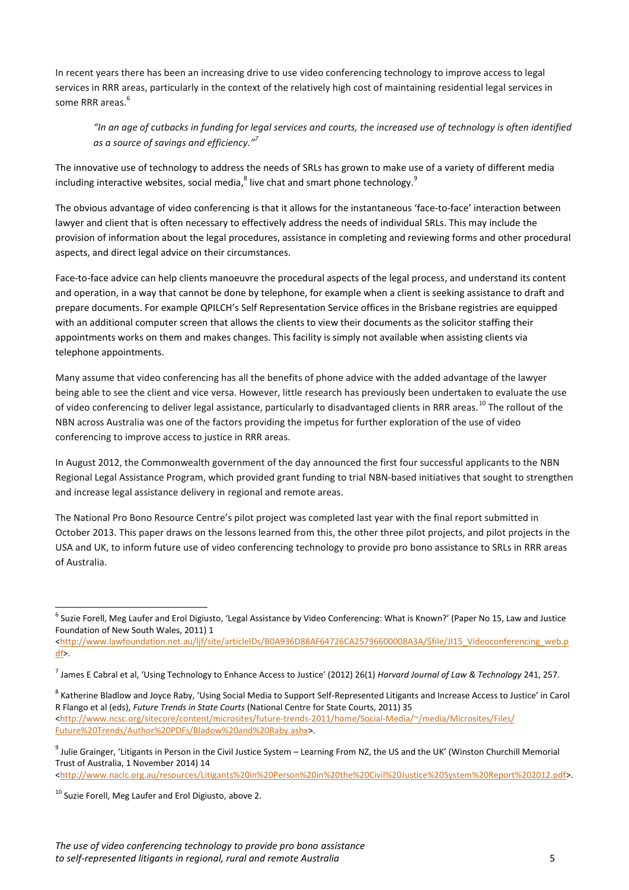In recent years there has been an increasing drive to use video conferencing technology to improve access to legal services in RRR areas, particularly in the context of the relatively high cost of maintaining residential legal services in some RRR areas.<sup>6</sup>

*"In an age of cutbacks in funding for legal services and courts, the increased use of technology is often identified as a source of savings and efficiency." 7*

The innovative use of technology to address the needs of SRLs has grown to make use of a variety of different media including interactive websites, social media, $^8$  live chat and smart phone technology.<sup>9</sup>

The obvious advantage of video conferencing is that it allows for the instantaneous 'face-to-face' interaction between lawyer and client that is often necessary to effectively address the needs of individual SRLs. This may include the provision of information about the legal procedures, assistance in completing and reviewing forms and other procedural aspects, and direct legal advice on their circumstances.

Face-to-face advice can help clients manoeuvre the procedural aspects of the legal process, and understand its content and operation, in a way that cannot be done by telephone, for example when a client is seeking assistance to draft and prepare documents. For example QPILCH's Self Representation Service offices in the Brisbane registries are equipped with an additional computer screen that allows the clients to view their documents as the solicitor staffing their appointments works on them and makes changes. This facility is simply not available when assisting clients via telephone appointments.

Many assume that video conferencing has all the benefits of phone advice with the added advantage of the lawyer being able to see the client and vice versa. However, little research has previously been undertaken to evaluate the use of video conferencing to deliver legal assistance, particularly to disadvantaged clients in RRR areas.<sup>10</sup> The rollout of the NBN across Australia was one of the factors providing the impetus for further exploration of the use of video conferencing to improve access to justice in RRR areas.

In August 2012, the Commonwealth government of the day announced the first four successful applicants to the NBN Regional Legal Assistance Program, which provided grant funding to trial NBN-based initiatives that sought to strengthen and increase legal assistance delivery in regional and remote areas.

The National Pro Bono Resource Centre's pilot project was completed last year with the final report submitted in October 2013. This paper draws on the lessons learned from this, the other three pilot projects, and pilot projects in the USA and UK, to inform future use of video conferencing technology to provide pro bono assistance to SRLs in RRR areas of Australia.

[<http://www.naclc.org.au/resources/Litigants%20in%20Person%20in%20the%20Civil%20Justice%20System%20Report%202012.pdf>](http://www.naclc.org.au/resources/Litigants%20in%20Person%20in%20the%20Civil%20Justice%20System%20Report%202012.pdf).

 6 Suzie Forell, Meg Laufer and Erol Digiusto, 'Legal Assistance by Video Conferencing: What is Known?' (Paper No 15, Law and Justice Foundation of New South Wales, 2011) 1

[<sup>&</sup>lt;http://www.lawfoundation.net.au/ljf/site/articleIDs/B0A936D88AF64726CA25796600008A3A/\\$file/JI15\\_Videoconferencing\\_web.p](http://www.lawfoundation.net.au/ljf/site/articleIDs/B0A936D88AF64726CA25796600008A3A/$file/JI15_Videoconferencing_web.pdf)  $df$ .

<sup>7</sup> James E Cabral et al, 'Using Technology to Enhance Access to Justice' (2012) 26(1) *Harvard Journal of Law & Technology* 241, 257.

<sup>&</sup>lt;sup>8</sup> Katherine Bladlow and Joyce Raby, 'Using Social Media to Support Self-Represented Litigants and Increase Access to Justice' in Carol R Flango et al (eds), *Future Trends in State Courts* (National Centre for State Courts, 2011) 35 [<http://www.ncsc.org/sitecore/content/microsites/future-trends-2011/home/Social-Media/~/media/Microsites/Files/](http://www.ncsc.org/sitecore/content/microsites/future-trends-2011/home/Social-Media/~/media/Microsites/Files/‌Future%20Trends/Author%20PDFs/Bladow%20and%20Raby.ashx) [Future%20Trends/Author%20PDFs/Bladow%20and%20Raby.ashx>](http://www.ncsc.org/sitecore/content/microsites/future-trends-2011/home/Social-Media/~/media/Microsites/Files/‌Future%20Trends/Author%20PDFs/Bladow%20and%20Raby.ashx).

<sup>&</sup>lt;sup>9</sup> Julie Grainger, 'Litigants in Person in the Civil Justice System – Learning From NZ, the US and the UK' (Winston Churchill Memorial Trust of Australia, 1 November 2014) 14

<sup>&</sup>lt;sup>10</sup> Suzie Forell, Meg Laufer and Erol Digiusto, above 2.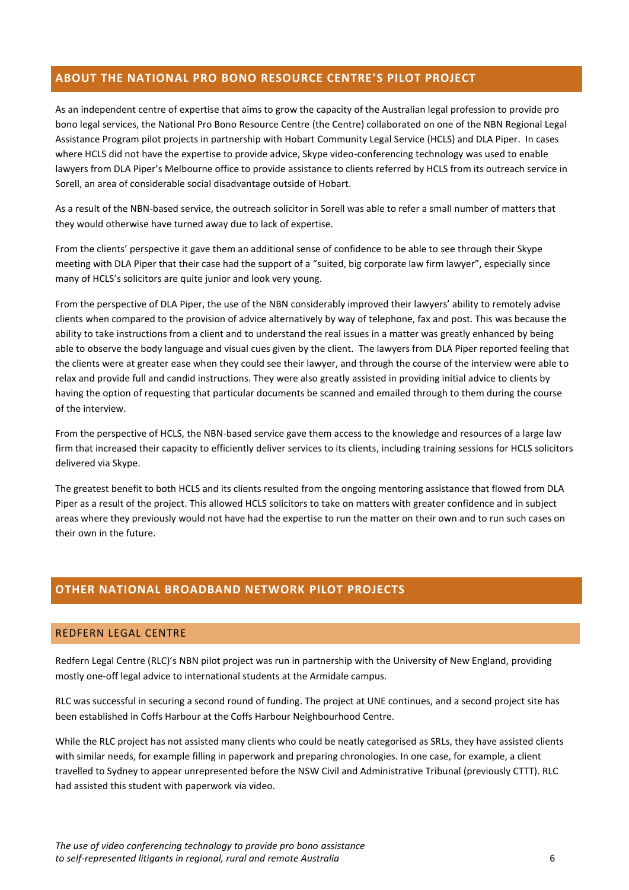### <span id="page-5-0"></span>**ABOUT THE NATIONAL PRO BONO RESOURCE CENTRE'S PILOT PROJECT**

As an independent centre of expertise that aims to grow the capacity of the Australian legal profession to provide pro bono legal services, the National Pro Bono Resource Centre (the Centre) collaborated on one of the NBN Regional Legal Assistance Program pilot projects in partnership with Hobart Community Legal Service (HCLS) and DLA Piper. In cases where HCLS did not have the expertise to provide advice, Skype video-conferencing technology was used to enable lawyers from DLA Piper's Melbourne office to provide assistance to clients referred by HCLS from its outreach service in Sorell, an area of considerable social disadvantage outside of Hobart.

As a result of the NBN-based service, the outreach solicitor in Sorell was able to refer a small number of matters that they would otherwise have turned away due to lack of expertise.

From the clients' perspective it gave them an additional sense of confidence to be able to see through their Skype meeting with DLA Piper that their case had the support of a "suited, big corporate law firm lawyer", especially since many of HCLS's solicitors are quite junior and look very young.

From the perspective of DLA Piper, the use of the NBN considerably improved their lawyers' ability to remotely advise clients when compared to the provision of advice alternatively by way of telephone, fax and post. This was because the ability to take instructions from a client and to understand the real issues in a matter was greatly enhanced by being able to observe the body language and visual cues given by the client. The lawyers from DLA Piper reported feeling that the clients were at greater ease when they could see their lawyer, and through the course of the interview were able to relax and provide full and candid instructions. They were also greatly assisted in providing initial advice to clients by having the option of requesting that particular documents be scanned and emailed through to them during the course of the interview.

From the perspective of HCLS, the NBN-based service gave them access to the knowledge and resources of a large law firm that increased their capacity to efficiently deliver services to its clients, including training sessions for HCLS solicitors delivered via Skype.

The greatest benefit to both HCLS and its clients resulted from the ongoing mentoring assistance that flowed from DLA Piper as a result of the project. This allowed HCLS solicitors to take on matters with greater confidence and in subject areas where they previously would not have had the expertise to run the matter on their own and to run such cases on their own in the future.

# <span id="page-5-2"></span><span id="page-5-1"></span>**OTHER NATIONAL BROADBAND NETWORK PILOT PROJECTS**

### REDFERN LEGAL CENTRE

Redfern Legal Centre (RLC)'s NBN pilot project was run in partnership with the University of New England, providing mostly one-off legal advice to international students at the Armidale campus.

RLC was successful in securing a second round of funding. The project at UNE continues, and a second project site has been established in Coffs Harbour at the Coffs Harbour Neighbourhood Centre.

While the RLC project has not assisted many clients who could be neatly categorised as SRLs, they have assisted clients with similar needs, for example filling in paperwork and preparing chronologies. In one case, for example, a client travelled to Sydney to appear unrepresented before the NSW Civil and Administrative Tribunal (previously CTTT). RLC had assisted this student with paperwork via video.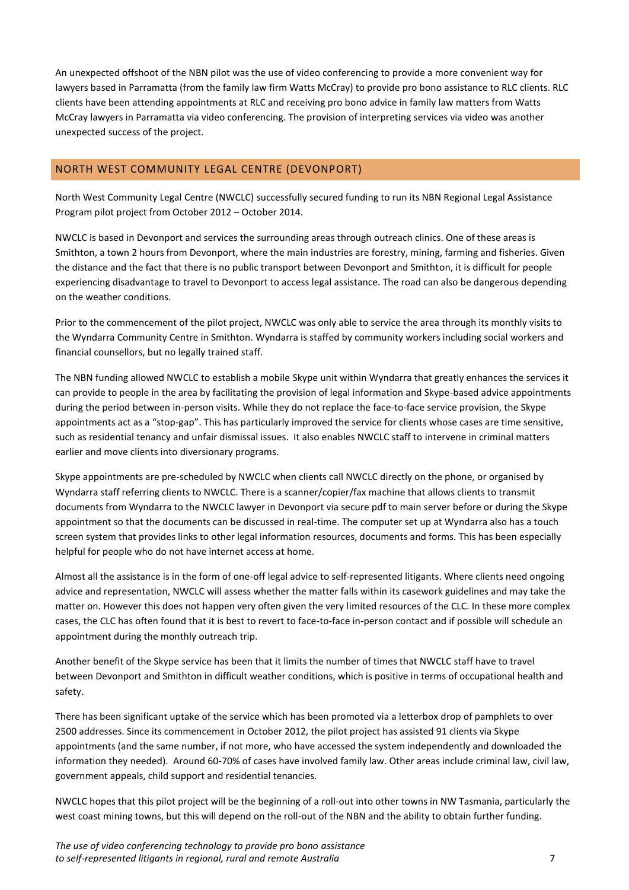An unexpected offshoot of the NBN pilot was the use of video conferencing to provide a more convenient way for lawyers based in Parramatta (from the family law firm Watts McCray) to provide pro bono assistance to RLC clients. RLC clients have been attending appointments at RLC and receiving pro bono advice in family law matters from Watts McCray lawyers in Parramatta via video conferencing. The provision of interpreting services via video was another unexpected success of the project.

### <span id="page-6-0"></span>NORTH WEST COMMUNITY LEGAL CENTRE (DEVONPORT)

North West Community Legal Centre (NWCLC) successfully secured funding to run its NBN Regional Legal Assistance Program pilot project from October 2012 – October 2014.

NWCLC is based in Devonport and services the surrounding areas through outreach clinics. One of these areas is Smithton, a town 2 hours from Devonport, where the main industries are forestry, mining, farming and fisheries. Given the distance and the fact that there is no public transport between Devonport and Smithton, it is difficult for people experiencing disadvantage to travel to Devonport to access legal assistance. The road can also be dangerous depending on the weather conditions.

Prior to the commencement of the pilot project, NWCLC was only able to service the area through its monthly visits to the Wyndarra Community Centre in Smithton. Wyndarra is staffed by community workers including social workers and financial counsellors, but no legally trained staff.

The NBN funding allowed NWCLC to establish a mobile Skype unit within Wyndarra that greatly enhances the services it can provide to people in the area by facilitating the provision of legal information and Skype-based advice appointments during the period between in-person visits. While they do not replace the face-to-face service provision, the Skype appointments act as a "stop-gap". This has particularly improved the service for clients whose cases are time sensitive, such as residential tenancy and unfair dismissal issues. It also enables NWCLC staff to intervene in criminal matters earlier and move clients into diversionary programs.

Skype appointments are pre-scheduled by NWCLC when clients call NWCLC directly on the phone, or organised by Wyndarra staff referring clients to NWCLC. There is a scanner/copier/fax machine that allows clients to transmit documents from Wyndarra to the NWCLC lawyer in Devonport via secure pdf to main server before or during the Skype appointment so that the documents can be discussed in real-time. The computer set up at Wyndarra also has a touch screen system that provides links to other legal information resources, documents and forms. This has been especially helpful for people who do not have internet access at home.

Almost all the assistance is in the form of one-off legal advice to self-represented litigants. Where clients need ongoing advice and representation, NWCLC will assess whether the matter falls within its casework guidelines and may take the matter on. However this does not happen very often given the very limited resources of the CLC. In these more complex cases, the CLC has often found that it is best to revert to face-to-face in-person contact and if possible will schedule an appointment during the monthly outreach trip.

Another benefit of the Skype service has been that it limits the number of times that NWCLC staff have to travel between Devonport and Smithton in difficult weather conditions, which is positive in terms of occupational health and safety.

There has been significant uptake of the service which has been promoted via a letterbox drop of pamphlets to over 2500 addresses. Since its commencement in October 2012, the pilot project has assisted 91 clients via Skype appointments (and the same number, if not more, who have accessed the system independently and downloaded the information they needed). Around 60-70% of cases have involved family law. Other areas include criminal law, civil law, government appeals, child support and residential tenancies.

NWCLC hopes that this pilot project will be the beginning of a roll-out into other towns in NW Tasmania, particularly the west coast mining towns, but this will depend on the roll-out of the NBN and the ability to obtain further funding.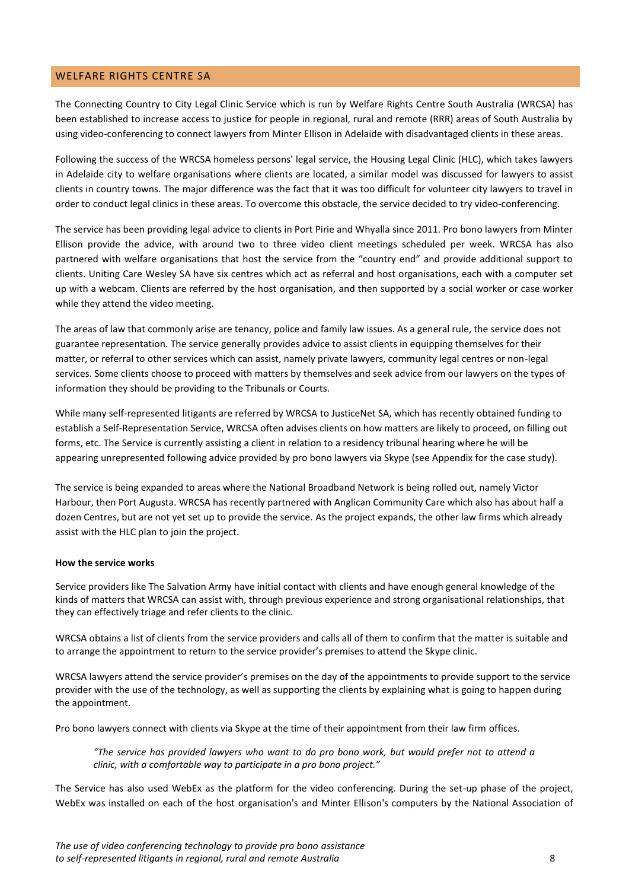### <span id="page-7-0"></span>WELFARE RIGHTS CENTRE SA

The Connecting Country to City Legal Clinic Service which is run by Welfare Rights Centre South Australia (WRCSA) has been established to increase access to justice for people in regional, rural and remote (RRR) areas of South Australia by using video-conferencing to connect lawyers from Minter Ellison in Adelaide with disadvantaged clients in these areas.

Following the success of the WRCSA homeless persons' legal service, the Housing Legal Clinic (HLC), which takes lawyers in Adelaide city to welfare organisations where clients are located, a similar model was discussed for lawyers to assist clients in country towns. The major difference was the fact that it was too difficult for volunteer city lawyers to travel in order to conduct legal clinics in these areas. To overcome this obstacle, the service decided to try video-conferencing.

The service has been providing legal advice to clients in Port Pirie and Whyalla since 2011. Pro bono lawyers from Minter Ellison provide the advice, with around two to three video client meetings scheduled per week. WRCSA has also partnered with welfare organisations that host the service from the "country end" and provide additional support to clients. Uniting Care Wesley SA have six centres which act as referral and host organisations, each with a computer set up with a webcam. Clients are referred by the host organisation, and then supported by a social worker or case worker while they attend the video meeting.

The areas of law that commonly arise are tenancy, police and family law issues. As a general rule, the service does not guarantee representation. The service generally provides advice to assist clients in equipping themselves for their matter, or referral to other services which can assist, namely private lawyers, community legal centres or non-legal services. Some clients choose to proceed with matters by themselves and seek advice from our lawyers on the types of information they should be providing to the Tribunals or Courts.

While many self-represented litigants are referred by WRCSA to JusticeNet SA, which has recently obtained funding to establish a Self-Representation Service, WRCSA often advises clients on how matters are likely to proceed, on filling out forms, etc. The Service is currently assisting a client in relation to a residency tribunal hearing where he will be appearing unrepresented following advice provided by pro bono lawyers via Skype (see Appendix for the case study).

The service is being expanded to areas where the National Broadband Network is being rolled out, namely Victor Harbour, then Port Augusta. WRCSA has recently partnered with Anglican Community Care which also has about half a dozen Centres, but are not yet set up to provide the service. As the project expands, the other law firms which already assist with the HLC plan to join the project.

#### **How the service works**

Service providers like The Salvation Army have initial contact with clients and have enough general knowledge of the kinds of matters that WRCSA can assist with, through previous experience and strong organisational relationships, that they can effectively triage and refer clients to the clinic.

WRCSA obtains a list of clients from the service providers and calls all of them to confirm that the matter is suitable and to arrange the appointment to return to the service provider's premises to attend the Skype clinic.

WRCSA lawyers attend the service provider's premises on the day of the appointments to provide support to the service provider with the use of the technology, as well as supporting the clients by explaining what is going to happen during the appointment.

Pro bono lawyers connect with clients via Skype at the time of their appointment from their law firm offices.

*"The service has provided lawyers who want to do pro bono work, but would prefer not to attend a clinic, with a comfortable way to participate in a pro bono project."*

The Service has also used WebEx as the platform for the video conferencing. During the set-up phase of the project, WebEx was installed on each of the host organisation's and Minter Ellison's computers by the National Association of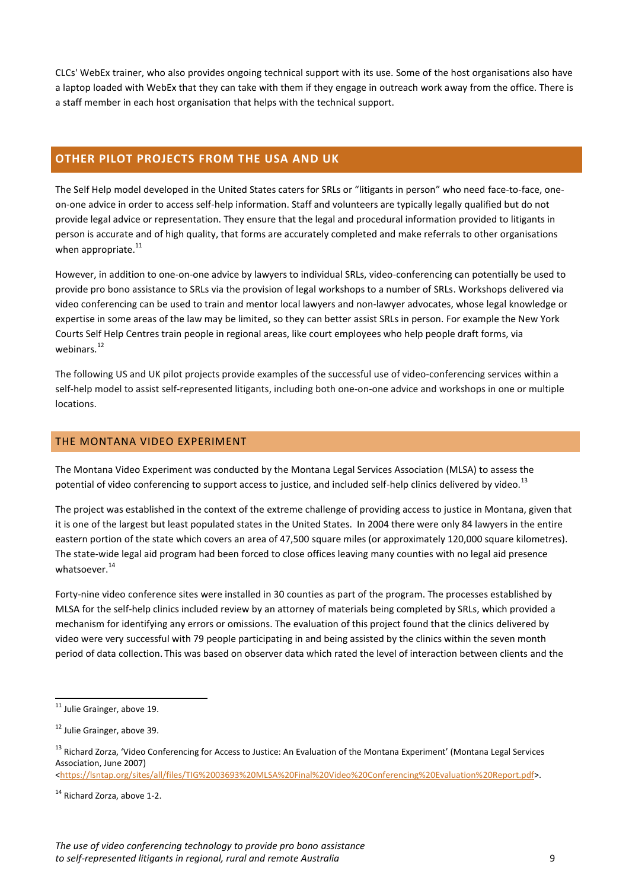CLCs' WebEx trainer, who also provides ongoing technical support with its use. Some of the host organisations also have a laptop loaded with WebEx that they can take with them if they engage in outreach work away from the office. There is a staff member in each host organisation that helps with the technical support.

# <span id="page-8-0"></span>**OTHER PILOT PROJECTS FROM THE USA AND UK**

The Self Help model developed in the United States caters for SRLs or "litigants in person" who need face-to-face, oneon-one advice in order to access self-help information. Staff and volunteers are typically legally qualified but do not provide legal advice or representation. They ensure that the legal and procedural information provided to litigants in person is accurate and of high quality, that forms are accurately completed and make referrals to other organisations when appropriate. $^{11}$ 

However, in addition to one-on-one advice by lawyers to individual SRLs, video-conferencing can potentially be used to provide pro bono assistance to SRLs via the provision of legal workshops to a number of SRLs. Workshops delivered via video conferencing can be used to train and mentor local lawyers and non-lawyer advocates, whose legal knowledge or expertise in some areas of the law may be limited, so they can better assist SRLs in person. For example the New York Courts Self Help Centres train people in regional areas, like court employees who help people draft forms, via webinars.<sup>12</sup>

The following US and UK pilot projects provide examples of the successful use of video-conferencing services within a self-help model to assist self-represented litigants, including both one-on-one advice and workshops in one or multiple locations.

### <span id="page-8-1"></span>THE MONTANA VIDEO EXPERIMENT

The Montana Video Experiment was conducted by the Montana Legal Services Association (MLSA) to assess the potential of video conferencing to support access to justice, and included self-help clinics delivered by video.<sup>13</sup>

The project was established in the context of the extreme challenge of providing access to justice in Montana, given that it is one of the largest but least populated states in the United States. In 2004 there were only 84 lawyers in the entire eastern portion of the state which covers an area of 47,500 square miles (or approximately 120,000 square kilometres). The state-wide legal aid program had been forced to close offices leaving many counties with no legal aid presence whatsoever. $^{14}$ 

Forty-nine video conference sites were installed in 30 counties as part of the program. The processes established by MLSA for the self-help clinics included review by an attorney of materials being completed by SRLs, which provided a mechanism for identifying any errors or omissions. The evaluation of this project found that the clinics delivered by video were very successful with 79 people participating in and being assisted by the clinics within the seven month period of data collection. This was based on observer data which rated the level of interaction between clients and the

 $\overline{a}$ 

[<https://lsntap.org/sites/all/files/TIG%2003693%20MLSA%20Final%20Video%20Conferencing%20Evaluation%20Report.pdf>](https://lsntap.org/sites/all/files/TIG%2003693%20MLSA%20Final%20Video%20Conferencing%20Evaluation%20Report.pdf).

<sup>&</sup>lt;sup>11</sup> Julie Grainger, above 19.

 $12$  Julie Grainger, above 39.

<sup>&</sup>lt;sup>13</sup> Richard Zorza, 'Video Conferencing for Access to Justice: An Evaluation of the Montana Experiment' (Montana Legal Services Association, June 2007)

<sup>14</sup> Richard Zorza, above 1-2.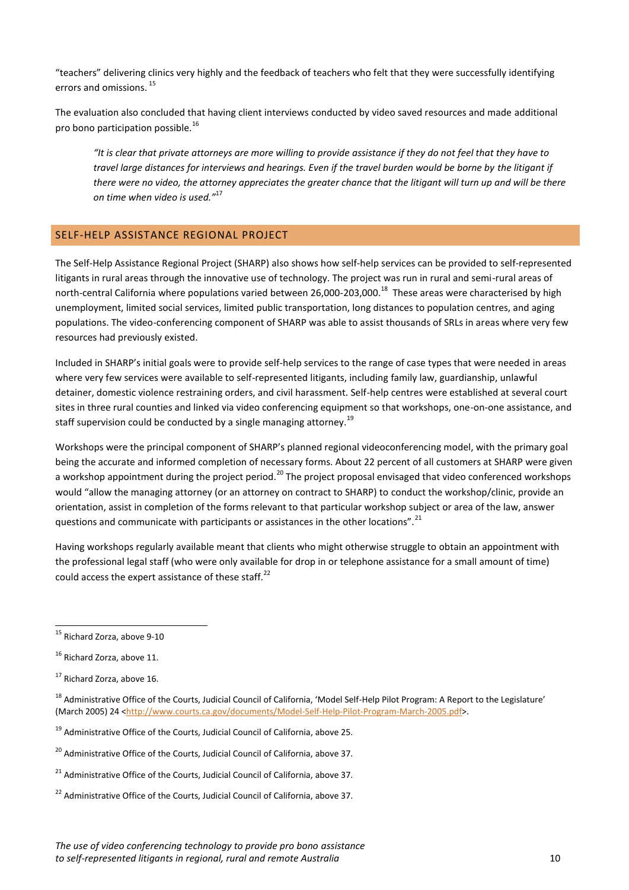"teachers" delivering clinics very highly and the feedback of teachers who felt that they were successfully identifying errors and omissions. <sup>15</sup>

The evaluation also concluded that having client interviews conducted by video saved resources and made additional pro bono participation possible.<sup>16</sup>

*"It is clear that private attorneys are more willing to provide assistance if they do not feel that they have to travel large distances for interviews and hearings. Even if the travel burden would be borne by the litigant if there were no video, the attorney appreciates the greater chance that the litigant will turn up and will be there on time when video is used."*<sup>17</sup>

# <span id="page-9-0"></span>SELF-HELP ASSISTANCE REGIONAL PROJECT

The Self-Help Assistance Regional Project (SHARP) also shows how self-help services can be provided to self-represented litigants in rural areas through the innovative use of technology. The project was run in rural and semi-rural areas of north-central California where populations varied between 26,000-203,000.<sup>18</sup> These areas were characterised by high unemployment, limited social services, limited public transportation, long distances to population centres, and aging populations. The video-conferencing component of SHARP was able to assist thousands of SRLs in areas where very few resources had previously existed.

Included in SHARP's initial goals were to provide self-help services to the range of case types that were needed in areas where very few services were available to self-represented litigants, including family law, guardianship, unlawful detainer, domestic violence restraining orders, and civil harassment. Self-help centres were established at several court sites in three rural counties and linked via video conferencing equipment so that workshops, one-on-one assistance, and staff supervision could be conducted by a single managing attorney.<sup>19</sup>

Workshops were the principal component of SHARP's planned regional videoconferencing model, with the primary goal being the accurate and informed completion of necessary forms. About 22 percent of all customers at SHARP were given a workshop appointment during the project period.<sup>20</sup> The project proposal envisaged that video conferenced workshops would "allow the managing attorney (or an attorney on contract to SHARP) to conduct the workshop/clinic, provide an orientation, assist in completion of the forms relevant to that particular workshop subject or area of the law, answer questions and communicate with participants or assistances in the other locations".<sup>21</sup>

Having workshops regularly available meant that clients who might otherwise struggle to obtain an appointment with the professional legal staff (who were only available for drop in or telephone assistance for a small amount of time) could access the expert assistance of these staff.<sup>22</sup>

 $\overline{a}$ 

- $20$  Administrative Office of the Courts, Judicial Council of California, above 37.
- $21$  Administrative Office of the Courts, Judicial Council of California, above 37.
- $22$  Administrative Office of the Courts, Judicial Council of California, above 37.

<sup>&</sup>lt;sup>15</sup> Richard Zorza, above 9-10

<sup>&</sup>lt;sup>16</sup> Richard Zorza, above 11.

<sup>17</sup> Richard Zorza, above 16.

<sup>&</sup>lt;sup>18</sup> Administrative Office of the Courts, Judicial Council of California, 'Model Self-Help Pilot Program: A Report to the Legislature' (March 2005) 24 [<http://www.courts.ca.gov/documents/Model-Self-Help-Pilot-Program-March-2005.pdf>](http://www.courts.ca.gov/documents/Model-Self-Help-Pilot-Program-March-2005.pdf).

 $19$  Administrative Office of the Courts, Judicial Council of California, above 25.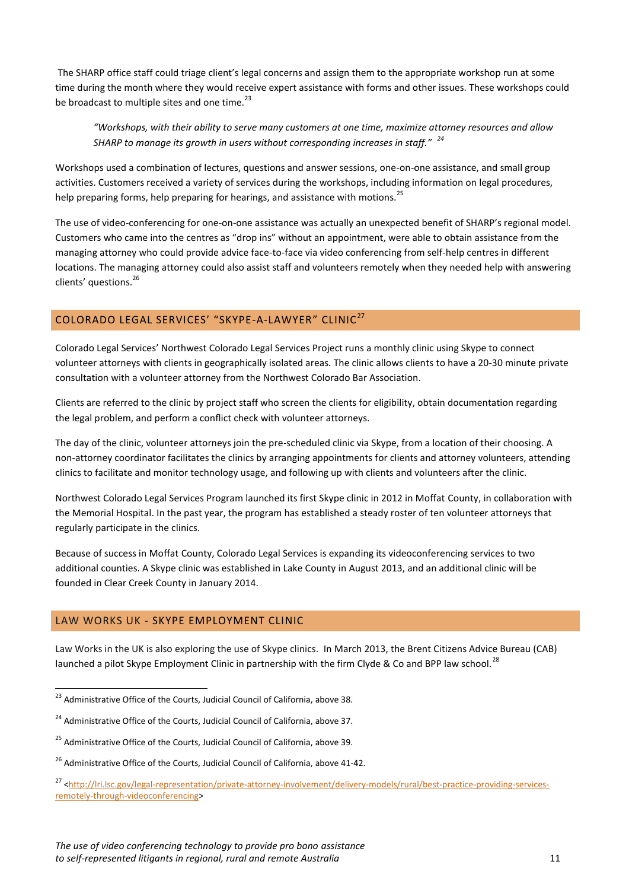The SHARP office staff could triage client's legal concerns and assign them to the appropriate workshop run at some time during the month where they would receive expert assistance with forms and other issues. These workshops could be broadcast to multiple sites and one time. $^{23}$ 

*"Workshops, with their ability to serve many customers at one time, maximize attorney resources and allow SHARP to manage its growth in users without corresponding increases in staff." <sup>24</sup>*

Workshops used a combination of lectures, questions and answer sessions, one-on-one assistance, and small group activities. Customers received a variety of services during the workshops, including information on legal procedures, help preparing forms, help preparing for hearings, and assistance with motions.<sup>25</sup>

The use of video-conferencing for one-on-one assistance was actually an unexpected benefit of SHARP's regional model. Customers who came into the centres as "drop ins" without an appointment, were able to obtain assistance from the managing attorney who could provide advice face-to-face via video conferencing from self-help centres in different locations. The managing attorney could also assist staff and volunteers remotely when they needed help with answering clients' questions. 26

# <span id="page-10-0"></span>COLORADO LEGAL SERVICES' "SKYPE-A-LAWYER" CLINIC<sup>27</sup>

Colorado Legal Services' Northwest Colorado Legal Services Project runs a monthly clinic using Skype to connect volunteer attorneys with clients in geographically isolated areas. The clinic allows clients to have a 20-30 minute private consultation with a volunteer attorney from the Northwest Colorado Bar Association.

Clients are referred to the clinic by project staff who screen the clients for eligibility, obtain documentation regarding the legal problem, and perform a conflict check with volunteer attorneys.

The day of the clinic, volunteer attorneys join the pre-scheduled clinic via Skype, from a location of their choosing. A non-attorney coordinator facilitates the clinics by arranging appointments for clients and attorney volunteers, attending clinics to facilitate and monitor technology usage, and following up with clients and volunteers after the clinic.

Northwest Colorado Legal Services Program launched its first Skype clinic in 2012 in Moffat County, in collaboration with the Memorial Hospital. In the past year, the program has established a steady roster of ten volunteer attorneys that regularly participate in the clinics.

Because of success in Moffat County, Colorado Legal Services is expanding its videoconferencing services to two additional counties. A Skype clinic was established in Lake County in August 2013, and an additional clinic will be founded in Clear Creek County in January 2014.

### <span id="page-10-1"></span>LAW WORKS UK - SKYPE EMPLOYMENT CLINIC

 $\overline{a}$ 

Law Works in the UK is also exploring the use of Skype clinics. In March 2013, the Brent Citizens Advice Bureau (CAB) launched a pilot Skype Employment Clinic in partnership with the firm Clyde & Co and BPP law school.<sup>28</sup>

 $^{23}$  Administrative Office of the Courts, Judicial Council of California, above 38.

 $24$  Administrative Office of the Courts, Judicial Council of California, above 37.

<sup>&</sup>lt;sup>25</sup> Administrative Office of the Courts, Judicial Council of California, above 39.

<sup>&</sup>lt;sup>26</sup> Administrative Office of the Courts, Judicial Council of California, above 41-42.

<sup>&</sup>lt;sup>27</sup> [<http://lri.lsc.gov/legal-representation/private-attorney-involvement/delivery-models/rural/best-practice-providing-services](http://lri.lsc.gov/legal-representation/private-attorney-involvement/delivery-models/rural/best-practice-providing-services-remotely-through-videoconferencing)[remotely-through-videoconferencing>](http://lri.lsc.gov/legal-representation/private-attorney-involvement/delivery-models/rural/best-practice-providing-services-remotely-through-videoconferencing)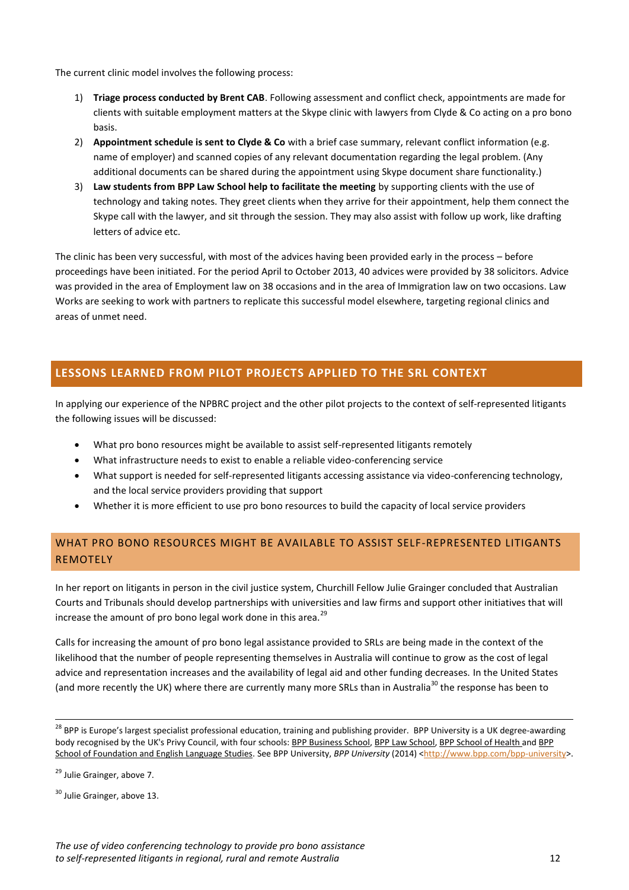The current clinic model involves the following process:

- 1) **Triage process conducted by Brent CAB**. Following assessment and conflict check, appointments are made for clients with suitable employment matters at the Skype clinic with lawyers from Clyde & Co acting on a pro bono basis.
- 2) **Appointment schedule is sent to Clyde & Co** with a brief case summary, relevant conflict information (e.g. name of employer) and scanned copies of any relevant documentation regarding the legal problem. (Any additional documents can be shared during the appointment using Skype document share functionality.)
- 3) **Law students from BPP Law School help to facilitate the meeting** by supporting clients with the use of technology and taking notes. They greet clients when they arrive for their appointment, help them connect the Skype call with the lawyer, and sit through the session. They may also assist with follow up work, like drafting letters of advice etc.

The clinic has been very successful, with most of the advices having been provided early in the process – before proceedings have been initiated. For the period April to October 2013, 40 advices were provided by 38 solicitors. Advice was provided in the area of Employment law on 38 occasions and in the area of Immigration law on two occasions. Law Works are seeking to work with partners to replicate this successful model elsewhere, targeting regional clinics and areas of unmet need.

# <span id="page-11-0"></span>**LESSONS LEARNED FROM PILOT PROJECTS APPLIED TO THE SRL CONTEXT**

In applying our experience of the NPBRC project and the other pilot projects to the context of self-represented litigants the following issues will be discussed:

- What pro bono resources might be available to assist self-represented litigants remotely
- What infrastructure needs to exist to enable a reliable video-conferencing service
- What support is needed for self-represented litigants accessing assistance via video-conferencing technology, and the local service providers providing that support
- Whether it is more efficient to use pro bono resources to build the capacity of local service providers

# <span id="page-11-1"></span>WHAT PRO BONO RESOURCES MIGHT BE AVAILABLE TO ASSIST SELF-REPRESENTED LITIGANTS REMOTELY

In her report on litigants in person in the civil justice system, Churchill Fellow Julie Grainger concluded that Australian Courts and Tribunals should develop partnerships with universities and law firms and support other initiatives that will increase the amount of pro bono legal work done in this area. $^{29}$ 

Calls for increasing the amount of pro bono legal assistance provided to SRLs are being made in the context of the likelihood that the number of people representing themselves in Australia will continue to grow as the cost of legal advice and representation increases and the availability of legal aid and other funding decreases. In the United States (and more recently the UK) where there are currently many more SRLs than in Australia<sup>30</sup> the response has been to

**.** 

<sup>&</sup>lt;sup>28</sup> BPP is Europe's largest specialist professional education, training and publishing provider. BPP University is a UK degree-awarding body recognised by the UK's Privy Council, with four schools: [BPP Business School,](http://www.bpp.com/about-bpp/aboutBPP/business-school) BPP [Law School,](http://www.bpp.com/about-bpp/aboutBPP/law-school) [BPP School of Health](http://www.bpp.com/about-bpp/aboutBPP/health-school) and BPP [School of Foundation and English Language Studies.](http://www.bpp.com/about-bpp/aboutBPP/bpp-school-of-foundation-and-english-language-studies?p) See BPP University, *BPP University* (2014) [<http://www.bpp.com/bpp-university>](http://www.bpp.com/bpp-university).

<sup>&</sup>lt;sup>29</sup> Julie Grainger, above 7.

<sup>&</sup>lt;sup>30</sup> Julie Grainger, above 13.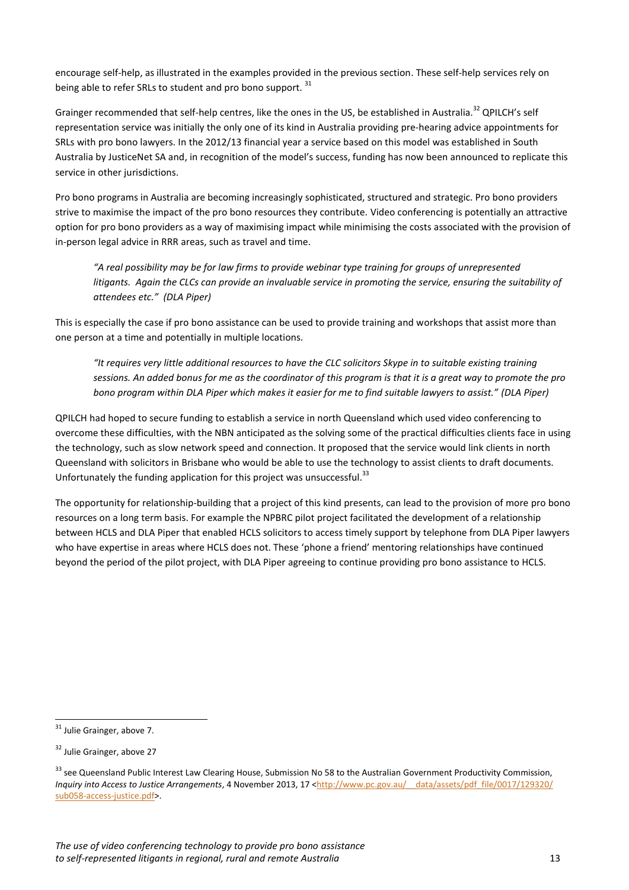encourage self-help, as illustrated in the examples provided in the previous section. These self-help services rely on being able to refer SRLs to student and pro bono support.<sup>31</sup>

Grainger recommended that self-help centres, like the ones in the US, be established in Australia.<sup>32</sup> QPILCH's self representation service was initially the only one of its kind in Australia providing pre-hearing advice appointments for SRLs with pro bono lawyers. In the 2012/13 financial year a service based on this model was established in South Australia by JusticeNet SA and, in recognition of the model's success, funding has now been announced to replicate this service in other jurisdictions.

Pro bono programs in Australia are becoming increasingly sophisticated, structured and strategic. Pro bono providers strive to maximise the impact of the pro bono resources they contribute. Video conferencing is potentially an attractive option for pro bono providers as a way of maximising impact while minimising the costs associated with the provision of in-person legal advice in RRR areas, such as travel and time.

*"A real possibility may be for law firms to provide webinar type training for groups of unrepresented litigants. Again the CLCs can provide an invaluable service in promoting the service, ensuring the suitability of attendees etc." (DLA Piper)*

This is especially the case if pro bono assistance can be used to provide training and workshops that assist more than one person at a time and potentially in multiple locations.

*"It requires very little additional resources to have the CLC solicitors Skype in to suitable existing training sessions. An added bonus for me as the coordinator of this program is that it is a great way to promote the pro bono program within DLA Piper which makes it easier for me to find suitable lawyers to assist." (DLA Piper)*

QPILCH had hoped to secure funding to establish a service in north Queensland which used video conferencing to overcome these difficulties, with the NBN anticipated as the solving some of the practical difficulties clients face in using the technology, such as slow network speed and connection. It proposed that the service would link clients in north Queensland with solicitors in Brisbane who would be able to use the technology to assist clients to draft documents. Unfortunately the funding application for this project was unsuccessful.<sup>33</sup>

<span id="page-12-0"></span>The opportunity for relationship-building that a project of this kind presents, can lead to the provision of more pro bono resources on a long term basis. For example the NPBRC pilot project facilitated the development of a relationship between HCLS and DLA Piper that enabled HCLS solicitors to access timely support by telephone from DLA Piper lawyers who have expertise in areas where HCLS does not. These 'phone a friend' mentoring relationships have continued beyond the period of the pilot project, with DLA Piper agreeing to continue providing pro bono assistance to HCLS.

 $\overline{a}$ 

<sup>&</sup>lt;sup>31</sup> Julie Grainger, above 7.

<sup>32</sup> Julie Grainger, above 27

<sup>&</sup>lt;sup>33</sup> see Queensland Public Interest Law Clearing House, Submission No 58 to the Australian Government Productivity Commission, *Inquiry into Access to Justice Arrangements*, 4 November 2013, 17 <http://www.pc.gov.au/ data/assets/pdf\_file/0017/129320/ [sub058-access-justice.pdf>](http://www.pc.gov.au/__data/assets/pdf_file/0017/129320/‌sub058-access-justice.pdf).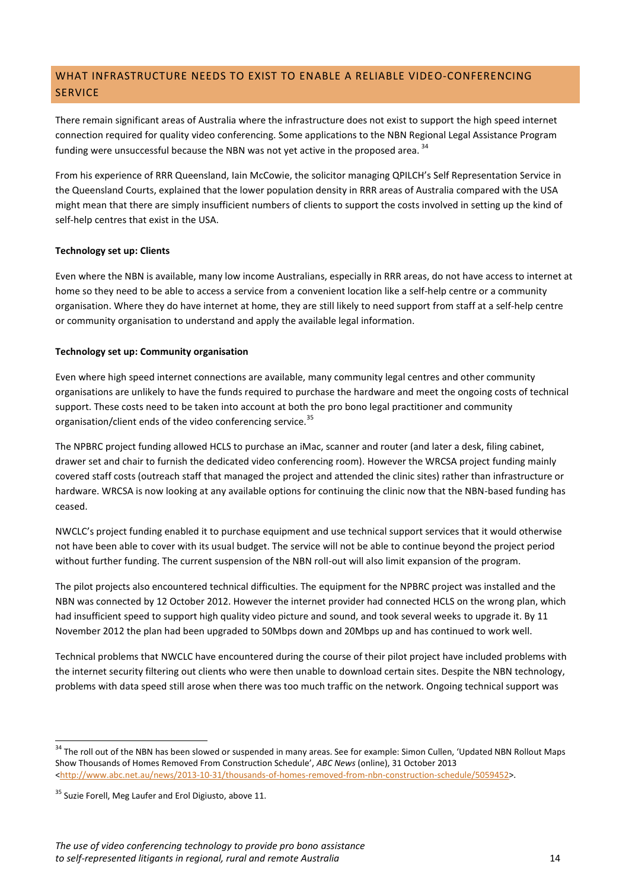# WHAT INFRASTRUCTURE NEEDS TO EXIST TO ENABLE A RELIABLE VIDEO-CONFERENCING **SERVICE**

There remain significant areas of Australia where the infrastructure does not exist to support the high speed internet connection required for quality video conferencing. Some applications to the NBN Regional Legal Assistance Program funding were unsuccessful because the NBN was not yet active in the proposed area.<sup>34</sup>

From his experience of RRR Queensland, Iain McCowie, the solicitor managing QPILCH's Self Representation Service in the Queensland Courts, explained that the lower population density in RRR areas of Australia compared with the USA might mean that there are simply insufficient numbers of clients to support the costs involved in setting up the kind of self-help centres that exist in the USA.

#### **Technology set up: Clients**

Even where the NBN is available, many low income Australians, especially in RRR areas, do not have access to internet at home so they need to be able to access a service from a convenient location like a self-help centre or a community organisation. Where they do have internet at home, they are still likely to need support from staff at a self-help centre or community organisation to understand and apply the available legal information.

#### **Technology set up: Community organisation**

Even where high speed internet connections are available, many community legal centres and other community organisations are unlikely to have the funds required to purchase the hardware and meet the ongoing costs of technical support. These costs need to be taken into account at both the pro bono legal practitioner and community organisation/client ends of the video conferencing service.<sup>35</sup>

The NPBRC project funding allowed HCLS to purchase an iMac, scanner and router (and later a desk, filing cabinet, drawer set and chair to furnish the dedicated video conferencing room). However the WRCSA project funding mainly covered staff costs (outreach staff that managed the project and attended the clinic sites) rather than infrastructure or hardware. WRCSA is now looking at any available options for continuing the clinic now that the NBN-based funding has ceased.

NWCLC's project funding enabled it to purchase equipment and use technical support services that it would otherwise not have been able to cover with its usual budget. The service will not be able to continue beyond the project period without further funding. The current suspension of the NBN roll-out will also limit expansion of the program.

The pilot projects also encountered technical difficulties. The equipment for the NPBRC project was installed and the NBN was connected by 12 October 2012. However the internet provider had connected HCLS on the wrong plan, which had insufficient speed to support high quality video picture and sound, and took several weeks to upgrade it. By 11 November 2012 the plan had been upgraded to 50Mbps down and 20Mbps up and has continued to work well.

Technical problems that NWCLC have encountered during the course of their pilot project have included problems with the internet security filtering out clients who were then unable to download certain sites. Despite the NBN technology, problems with data speed still arose when there was too much traffic on the network. Ongoing technical support was

 $\overline{a}$ 

<sup>&</sup>lt;sup>34</sup> The roll out of the NBN has been slowed or suspended in many areas. See for example: Simon Cullen, 'Updated NBN Rollout Maps Show Thousands of Homes Removed From Construction Schedule', *ABC News* (online), 31 October 2013 [<http://www.abc.net.au/news/2013-10-31/thousands-of-homes-removed-from-nbn-construction-schedule/5059452>](http://www.abc.net.au/news/2013-10-31/thousands-of-homes-removed-from-nbn-construction-schedule/5059452).

<sup>&</sup>lt;sup>35</sup> Suzie Forell, Meg Laufer and Erol Digiusto, above 11.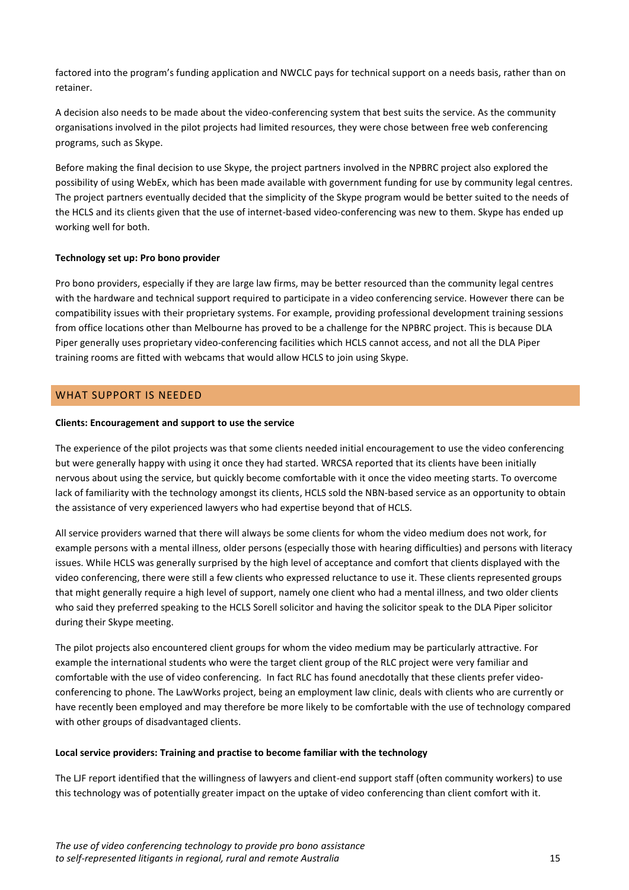factored into the program's funding application and NWCLC pays for technical support on a needs basis, rather than on retainer.

A decision also needs to be made about the video-conferencing system that best suits the service. As the community organisations involved in the pilot projects had limited resources, they were chose between free web conferencing programs, such as Skype.

Before making the final decision to use Skype, the project partners involved in the NPBRC project also explored the possibility of using WebEx, which has been made available with government funding for use by community legal centres. The project partners eventually decided that the simplicity of the Skype program would be better suited to the needs of the HCLS and its clients given that the use of internet-based video-conferencing was new to them. Skype has ended up working well for both.

#### **Technology set up: Pro bono provider**

Pro bono providers, especially if they are large law firms, may be better resourced than the community legal centres with the hardware and technical support required to participate in a video conferencing service. However there can be compatibility issues with their proprietary systems. For example, providing professional development training sessions from office locations other than Melbourne has proved to be a challenge for the NPBRC project. This is because DLA Piper generally uses proprietary video-conferencing facilities which HCLS cannot access, and not all the DLA Piper training rooms are fitted with webcams that would allow HCLS to join using Skype.

### <span id="page-14-0"></span>WHAT SUPPORT IS NEEDED

#### **Clients: Encouragement and support to use the service**

The experience of the pilot projects was that some clients needed initial encouragement to use the video conferencing but were generally happy with using it once they had started. WRCSA reported that its clients have been initially nervous about using the service, but quickly become comfortable with it once the video meeting starts. To overcome lack of familiarity with the technology amongst its clients, HCLS sold the NBN-based service as an opportunity to obtain the assistance of very experienced lawyers who had expertise beyond that of HCLS.

All service providers warned that there will always be some clients for whom the video medium does not work, for example persons with a mental illness, older persons (especially those with hearing difficulties) and persons with literacy issues. While HCLS was generally surprised by the high level of acceptance and comfort that clients displayed with the video conferencing, there were still a few clients who expressed reluctance to use it. These clients represented groups that might generally require a high level of support, namely one client who had a mental illness, and two older clients who said they preferred speaking to the HCLS Sorell solicitor and having the solicitor speak to the DLA Piper solicitor during their Skype meeting.

The pilot projects also encountered client groups for whom the video medium may be particularly attractive. For example the international students who were the target client group of the RLC project were very familiar and comfortable with the use of video conferencing. In fact RLC has found anecdotally that these clients prefer videoconferencing to phone. The LawWorks project, being an employment law clinic, deals with clients who are currently or have recently been employed and may therefore be more likely to be comfortable with the use of technology compared with other groups of disadvantaged clients.

#### **Local service providers: Training and practise to become familiar with the technology**

The LJF report identified that the willingness of lawyers and client-end support staff (often community workers) to use this technology was of potentially greater impact on the uptake of video conferencing than client comfort with it.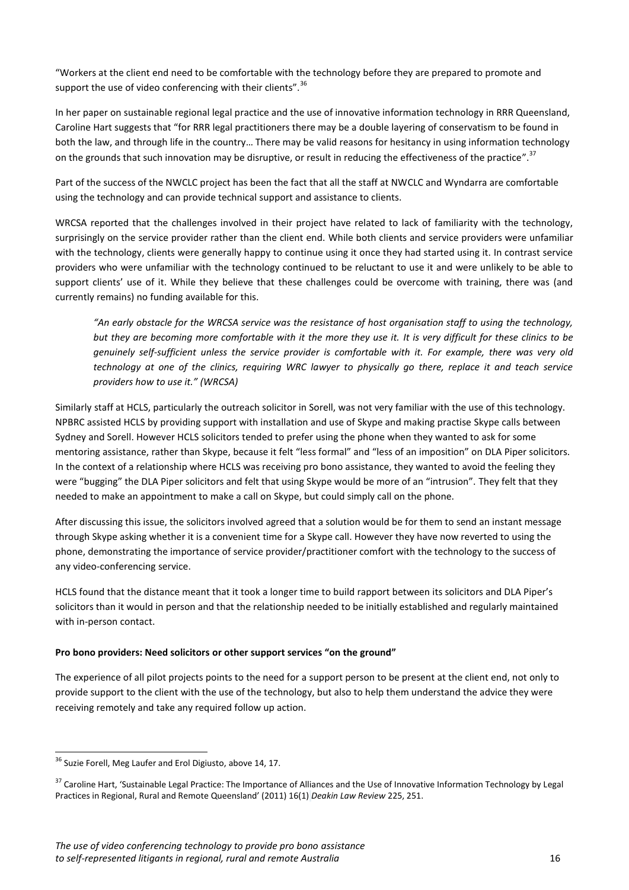"Workers at the client end need to be comfortable with the technology before they are prepared to promote and support the use of video conferencing with their clients".<sup>36</sup>

In her paper on sustainable regional legal practice and the use of innovative information technology in RRR Queensland, Caroline Hart suggests that "for RRR legal practitioners there may be a double layering of conservatism to be found in both the law, and through life in the country… There may be valid reasons for hesitancy in using information technology on the grounds that such innovation may be disruptive, or result in reducing the effectiveness of the practice".<sup>37</sup>

Part of the success of the NWCLC project has been the fact that all the staff at NWCLC and Wyndarra are comfortable using the technology and can provide technical support and assistance to clients.

WRCSA reported that the challenges involved in their project have related to lack of familiarity with the technology, surprisingly on the service provider rather than the client end. While both clients and service providers were unfamiliar with the technology, clients were generally happy to continue using it once they had started using it. In contrast service providers who were unfamiliar with the technology continued to be reluctant to use it and were unlikely to be able to support clients' use of it. While they believe that these challenges could be overcome with training, there was (and currently remains) no funding available for this.

*"An early obstacle for the WRCSA service was the resistance of host organisation staff to using the technology, but they are becoming more comfortable with it the more they use it. It is very difficult for these clinics to be genuinely self-sufficient unless the service provider is comfortable with it. For example, there was very old technology at one of the clinics, requiring WRC lawyer to physically go there, replace it and teach service providers how to use it." (WRCSA)*

Similarly staff at HCLS, particularly the outreach solicitor in Sorell, was not very familiar with the use of this technology. NPBRC assisted HCLS by providing support with installation and use of Skype and making practise Skype calls between Sydney and Sorell. However HCLS solicitors tended to prefer using the phone when they wanted to ask for some mentoring assistance, rather than Skype, because it felt "less formal" and "less of an imposition" on DLA Piper solicitors. In the context of a relationship where HCLS was receiving pro bono assistance, they wanted to avoid the feeling they were "bugging" the DLA Piper solicitors and felt that using Skype would be more of an "intrusion". They felt that they needed to make an appointment to make a call on Skype, but could simply call on the phone.

After discussing this issue, the solicitors involved agreed that a solution would be for them to send an instant message through Skype asking whether it is a convenient time for a Skype call. However they have now reverted to using the phone, demonstrating the importance of service provider/practitioner comfort with the technology to the success of any video-conferencing service.

HCLS found that the distance meant that it took a longer time to build rapport between its solicitors and DLA Piper's solicitors than it would in person and that the relationship needed to be initially established and regularly maintained with in-person contact.

### **Pro bono providers: Need solicitors or other support services "on the ground"**

The experience of all pilot projects points to the need for a support person to be present at the client end, not only to provide support to the client with the use of the technology, but also to help them understand the advice they were receiving remotely and take any required follow up action.

 $\overline{a}$ <sup>36</sup> Suzie Forell, Meg Laufer and Erol Digiusto, above 14, 17.

<sup>&</sup>lt;sup>37</sup> Caroline Hart, 'Sustainable Legal Practice: The Importance of Alliances and the Use of Innovative Information Technology by Legal Practices in Regional, Rural and Remote Queensland' (2011) 16(1) *Deakin Law Review* 225, 251.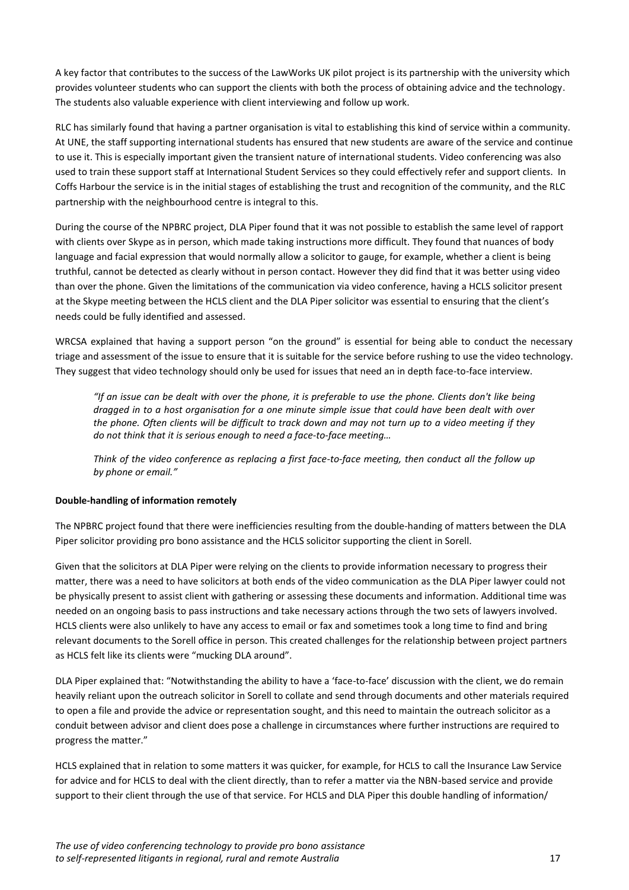A key factor that contributes to the success of the LawWorks UK pilot project is its partnership with the university which provides volunteer students who can support the clients with both the process of obtaining advice and the technology. The students also valuable experience with client interviewing and follow up work.

RLC has similarly found that having a partner organisation is vital to establishing this kind of service within a community. At UNE, the staff supporting international students has ensured that new students are aware of the service and continue to use it. This is especially important given the transient nature of international students. Video conferencing was also used to train these support staff at International Student Services so they could effectively refer and support clients. In Coffs Harbour the service is in the initial stages of establishing the trust and recognition of the community, and the RLC partnership with the neighbourhood centre is integral to this.

During the course of the NPBRC project, DLA Piper found that it was not possible to establish the same level of rapport with clients over Skype as in person, which made taking instructions more difficult. They found that nuances of body language and facial expression that would normally allow a solicitor to gauge, for example, whether a client is being truthful, cannot be detected as clearly without in person contact. However they did find that it was better using video than over the phone. Given the limitations of the communication via video conference, having a HCLS solicitor present at the Skype meeting between the HCLS client and the DLA Piper solicitor was essential to ensuring that the client's needs could be fully identified and assessed.

WRCSA explained that having a support person "on the ground" is essential for being able to conduct the necessary triage and assessment of the issue to ensure that it is suitable for the service before rushing to use the video technology. They suggest that video technology should only be used for issues that need an in depth face-to-face interview.

*"If an issue can be dealt with over the phone, it is preferable to use the phone. Clients don't like being dragged in to a host organisation for a one minute simple issue that could have been dealt with over the phone. Often clients will be difficult to track down and may not turn up to a video meeting if they do not think that it is serious enough to need a face-to-face meeting…*

*Think of the video conference as replacing a first face-to-face meeting, then conduct all the follow up by phone or email."*

#### **Double-handling of information remotely**

The NPBRC project found that there were inefficiencies resulting from the double-handing of matters between the DLA Piper solicitor providing pro bono assistance and the HCLS solicitor supporting the client in Sorell.

Given that the solicitors at DLA Piper were relying on the clients to provide information necessary to progress their matter, there was a need to have solicitors at both ends of the video communication as the DLA Piper lawyer could not be physically present to assist client with gathering or assessing these documents and information. Additional time was needed on an ongoing basis to pass instructions and take necessary actions through the two sets of lawyers involved. HCLS clients were also unlikely to have any access to email or fax and sometimes took a long time to find and bring relevant documents to the Sorell office in person. This created challenges for the relationship between project partners as HCLS felt like its clients were "mucking DLA around".

DLA Piper explained that: "Notwithstanding the ability to have a 'face-to-face' discussion with the client, we do remain heavily reliant upon the outreach solicitor in Sorell to collate and send through documents and other materials required to open a file and provide the advice or representation sought, and this need to maintain the outreach solicitor as a conduit between advisor and client does pose a challenge in circumstances where further instructions are required to progress the matter."

HCLS explained that in relation to some matters it was quicker, for example, for HCLS to call the Insurance Law Service for advice and for HCLS to deal with the client directly, than to refer a matter via the NBN-based service and provide support to their client through the use of that service. For HCLS and DLA Piper this double handling of information/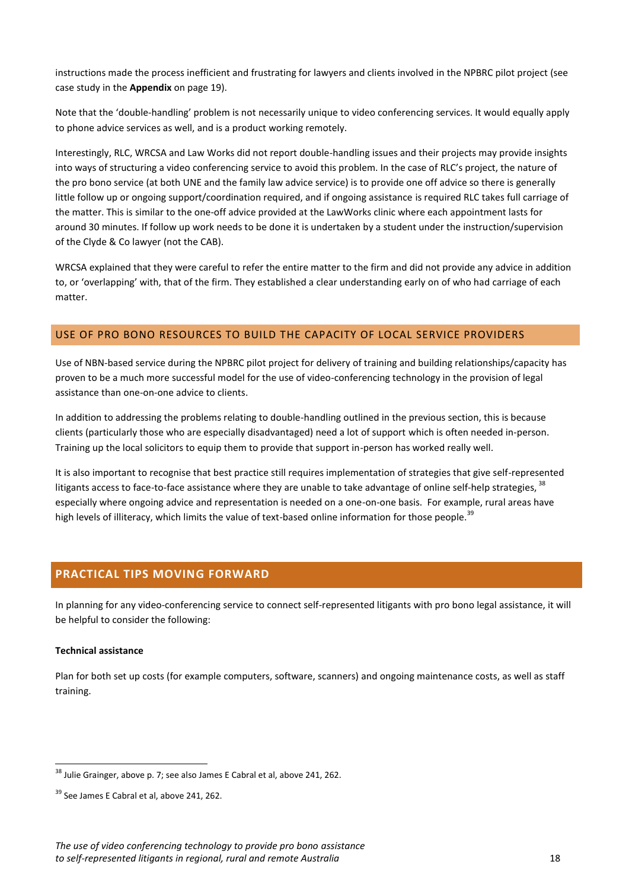instructions made the process inefficient and frustrating for lawyers and clients involved in the NPBRC pilot project (see case study in the **Appendix** on page 19).

Note that the 'double-handling' problem is not necessarily unique to video conferencing services. It would equally apply to phone advice services as well, and is a product working remotely.

Interestingly, RLC, WRCSA and Law Works did not report double-handling issues and their projects may provide insights into ways of structuring a video conferencing service to avoid this problem. In the case of RLC's project, the nature of the pro bono service (at both UNE and the family law advice service) is to provide one off advice so there is generally little follow up or ongoing support/coordination required, and if ongoing assistance is required RLC takes full carriage of the matter. This is similar to the one-off advice provided at the LawWorks clinic where each appointment lasts for around 30 minutes. If follow up work needs to be done it is undertaken by a student under the instruction/supervision of the Clyde & Co lawyer (not the CAB).

WRCSA explained that they were careful to refer the entire matter to the firm and did not provide any advice in addition to, or 'overlapping' with, that of the firm. They established a clear understanding early on of who had carriage of each matter.

### <span id="page-17-0"></span>USE OF PRO BONO RESOURCES TO BUILD THE CAPACITY OF LOCAL SERVICE PROVIDERS

Use of NBN-based service during the NPBRC pilot project for delivery of training and building relationships/capacity has proven to be a much more successful model for the use of video-conferencing technology in the provision of legal assistance than one-on-one advice to clients.

In addition to addressing the problems relating to double-handling outlined in the previous section, this is because clients (particularly those who are especially disadvantaged) need a lot of support which is often needed in-person. Training up the local solicitors to equip them to provide that support in-person has worked really well.

It is also important to recognise that best practice still requires implementation of strategies that give self-represented litigants access to face-to-face assistance where they are unable to take advantage of online self-help strategies, <sup>38</sup> especially where ongoing advice and representation is needed on a one-on-one basis. For example, rural areas have high levels of illiteracy, which limits the value of text-based online information for those people.<sup>39</sup>

# <span id="page-17-1"></span>**PRACTICAL TIPS MOVING FORWARD**

In planning for any video-conferencing service to connect self-represented litigants with pro bono legal assistance, it will be helpful to consider the following:

#### **Technical assistance**

 $\overline{a}$ 

Plan for both set up costs (for example computers, software, scanners) and ongoing maintenance costs, as well as staff training.

<sup>&</sup>lt;sup>38</sup> Julie Grainger, above p. 7; see also James E Cabral et al, above 241, 262.

<sup>&</sup>lt;sup>39</sup> See James E Cabral et al, above 241, 262.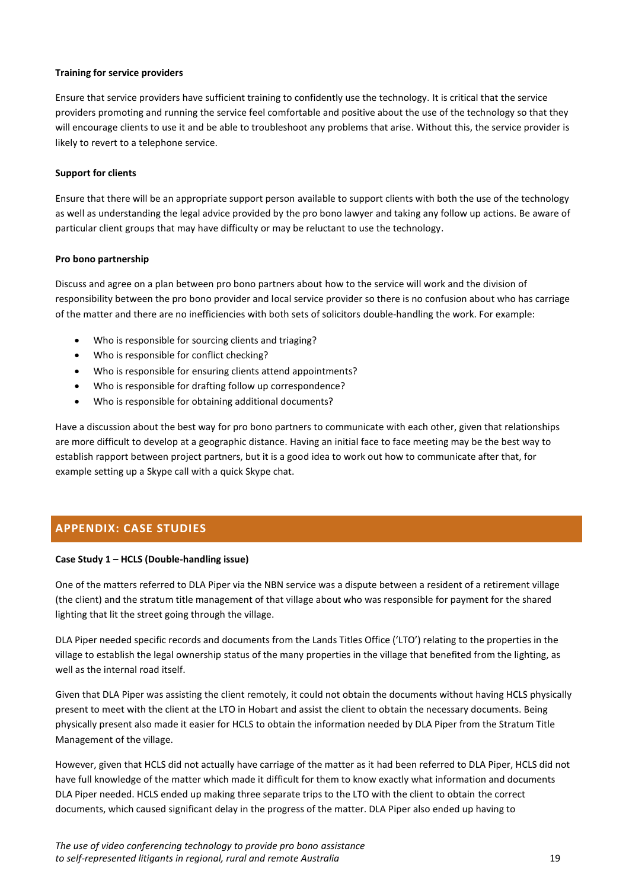#### **Training for service providers**

Ensure that service providers have sufficient training to confidently use the technology. It is critical that the service providers promoting and running the service feel comfortable and positive about the use of the technology so that they will encourage clients to use it and be able to troubleshoot any problems that arise. Without this, the service provider is likely to revert to a telephone service.

#### **Support for clients**

Ensure that there will be an appropriate support person available to support clients with both the use of the technology as well as understanding the legal advice provided by the pro bono lawyer and taking any follow up actions. Be aware of particular client groups that may have difficulty or may be reluctant to use the technology.

#### **Pro bono partnership**

Discuss and agree on a plan between pro bono partners about how to the service will work and the division of responsibility between the pro bono provider and local service provider so there is no confusion about who has carriage of the matter and there are no inefficiencies with both sets of solicitors double-handling the work. For example:

- Who is responsible for sourcing clients and triaging?
- Who is responsible for conflict checking?
- Who is responsible for ensuring clients attend appointments?
- Who is responsible for drafting follow up correspondence?
- Who is responsible for obtaining additional documents?

Have a discussion about the best way for pro bono partners to communicate with each other, given that relationships are more difficult to develop at a geographic distance. Having an initial face to face meeting may be the best way to establish rapport between project partners, but it is a good idea to work out how to communicate after that, for example setting up a Skype call with a quick Skype chat.

# <span id="page-18-0"></span>**APPENDIX: CASE STUDIES**

### **Case Study 1 – HCLS (Double-handling issue)**

One of the matters referred to DLA Piper via the NBN service was a dispute between a resident of a retirement village (the client) and the stratum title management of that village about who was responsible for payment for the shared lighting that lit the street going through the village.

DLA Piper needed specific records and documents from the Lands Titles Office ('LTO') relating to the properties in the village to establish the legal ownership status of the many properties in the village that benefited from the lighting, as well as the internal road itself.

Given that DLA Piper was assisting the client remotely, it could not obtain the documents without having HCLS physically present to meet with the client at the LTO in Hobart and assist the client to obtain the necessary documents. Being physically present also made it easier for HCLS to obtain the information needed by DLA Piper from the Stratum Title Management of the village.

However, given that HCLS did not actually have carriage of the matter as it had been referred to DLA Piper, HCLS did not have full knowledge of the matter which made it difficult for them to know exactly what information and documents DLA Piper needed. HCLS ended up making three separate trips to the LTO with the client to obtain the correct documents, which caused significant delay in the progress of the matter. DLA Piper also ended up having to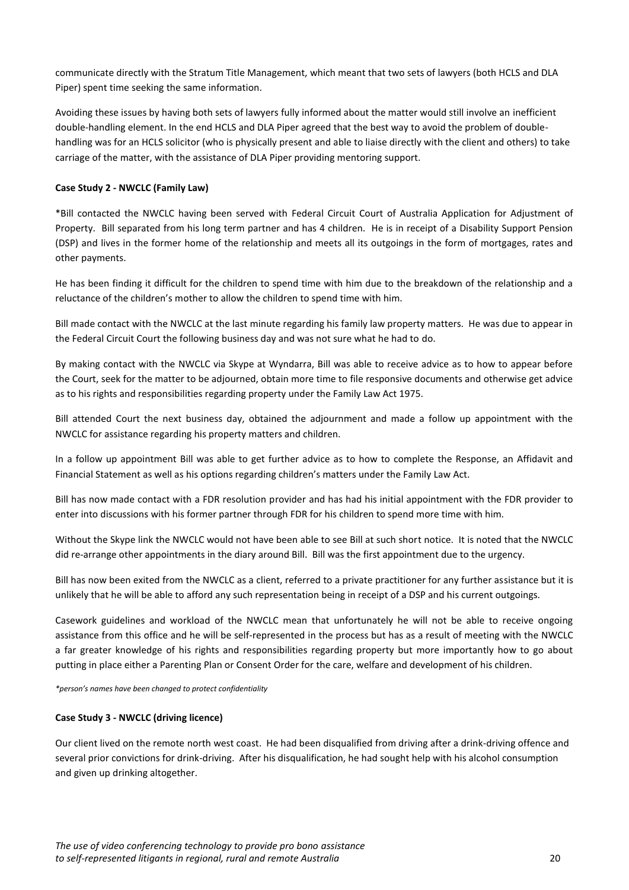communicate directly with the Stratum Title Management, which meant that two sets of lawyers (both HCLS and DLA Piper) spent time seeking the same information.

Avoiding these issues by having both sets of lawyers fully informed about the matter would still involve an inefficient double-handling element. In the end HCLS and DLA Piper agreed that the best way to avoid the problem of doublehandling was for an HCLS solicitor (who is physically present and able to liaise directly with the client and others) to take carriage of the matter, with the assistance of DLA Piper providing mentoring support.

### **Case Study 2 - NWCLC (Family Law)**

\*Bill contacted the NWCLC having been served with Federal Circuit Court of Australia Application for Adjustment of Property. Bill separated from his long term partner and has 4 children. He is in receipt of a Disability Support Pension (DSP) and lives in the former home of the relationship and meets all its outgoings in the form of mortgages, rates and other payments.

He has been finding it difficult for the children to spend time with him due to the breakdown of the relationship and a reluctance of the children's mother to allow the children to spend time with him.

Bill made contact with the NWCLC at the last minute regarding his family law property matters. He was due to appear in the Federal Circuit Court the following business day and was not sure what he had to do.

By making contact with the NWCLC via Skype at Wyndarra, Bill was able to receive advice as to how to appear before the Court, seek for the matter to be adjourned, obtain more time to file responsive documents and otherwise get advice as to his rights and responsibilities regarding property under the Family Law Act 1975.

Bill attended Court the next business day, obtained the adjournment and made a follow up appointment with the NWCLC for assistance regarding his property matters and children.

In a follow up appointment Bill was able to get further advice as to how to complete the Response, an Affidavit and Financial Statement as well as his options regarding children's matters under the Family Law Act.

Bill has now made contact with a FDR resolution provider and has had his initial appointment with the FDR provider to enter into discussions with his former partner through FDR for his children to spend more time with him.

Without the Skype link the NWCLC would not have been able to see Bill at such short notice. It is noted that the NWCLC did re-arrange other appointments in the diary around Bill. Bill was the first appointment due to the urgency.

Bill has now been exited from the NWCLC as a client, referred to a private practitioner for any further assistance but it is unlikely that he will be able to afford any such representation being in receipt of a DSP and his current outgoings.

Casework guidelines and workload of the NWCLC mean that unfortunately he will not be able to receive ongoing assistance from this office and he will be self-represented in the process but has as a result of meeting with the NWCLC a far greater knowledge of his rights and responsibilities regarding property but more importantly how to go about putting in place either a Parenting Plan or Consent Order for the care, welfare and development of his children.

*\*person's names have been changed to protect confidentiality*

#### **Case Study 3 - NWCLC (driving licence)**

Our client lived on the remote north west coast. He had been disqualified from driving after a drink-driving offence and several prior convictions for drink-driving. After his disqualification, he had sought help with his alcohol consumption and given up drinking altogether.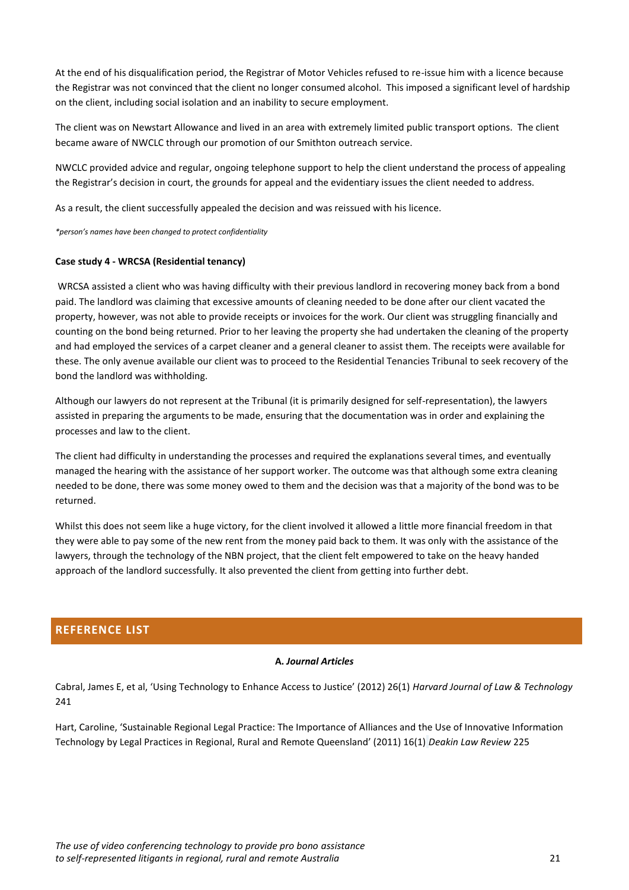At the end of his disqualification period, the Registrar of Motor Vehicles refused to re-issue him with a licence because the Registrar was not convinced that the client no longer consumed alcohol. This imposed a significant level of hardship on the client, including social isolation and an inability to secure employment.

The client was on Newstart Allowance and lived in an area with extremely limited public transport options. The client became aware of NWCLC through our promotion of our Smithton outreach service.

NWCLC provided advice and regular, ongoing telephone support to help the client understand the process of appealing the Registrar's decision in court, the grounds for appeal and the evidentiary issues the client needed to address.

As a result, the client successfully appealed the decision and was reissued with his licence.

*\*person's names have been changed to protect confidentiality*

#### **Case study 4 - WRCSA (Residential tenancy)**

WRCSA assisted a client who was having difficulty with their previous landlord in recovering money back from a bond paid. The landlord was claiming that excessive amounts of cleaning needed to be done after our client vacated the property, however, was not able to provide receipts or invoices for the work. Our client was struggling financially and counting on the bond being returned. Prior to her leaving the property she had undertaken the cleaning of the property and had employed the services of a carpet cleaner and a general cleaner to assist them. The receipts were available for these. The only avenue available our client was to proceed to the Residential Tenancies Tribunal to seek recovery of the bond the landlord was withholding.

Although our lawyers do not represent at the Tribunal (it is primarily designed for self-representation), the lawyers assisted in preparing the arguments to be made, ensuring that the documentation was in order and explaining the processes and law to the client.

The client had difficulty in understanding the processes and required the explanations several times, and eventually managed the hearing with the assistance of her support worker. The outcome was that although some extra cleaning needed to be done, there was some money owed to them and the decision was that a majority of the bond was to be returned.

Whilst this does not seem like a huge victory, for the client involved it allowed a little more financial freedom in that they were able to pay some of the new rent from the money paid back to them. It was only with the assistance of the lawyers, through the technology of the NBN project, that the client felt empowered to take on the heavy handed approach of the landlord successfully. It also prevented the client from getting into further debt.

# <span id="page-20-0"></span>**REFERENCE LIST**

### **A.** *Journal Articles*

Cabral, James E, et al, 'Using Technology to Enhance Access to Justice' (2012) 26(1) *Harvard Journal of Law & Technology* 241

Hart, Caroline, 'Sustainable Regional Legal Practice: The Importance of Alliances and the Use of Innovative Information Technology by Legal Practices in Regional, Rural and Remote Queensland' (2011) 16(1) *Deakin Law Review* 225